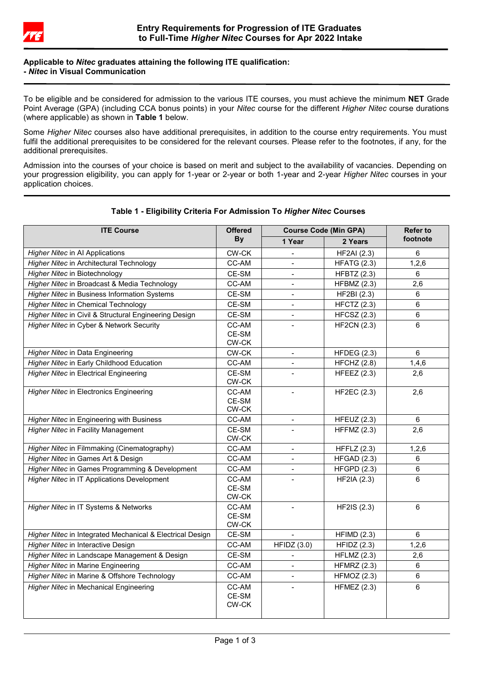

## **Applicable to** *Nitec* **graduates attaining the following ITE qualification: -** *Nitec* **in Visual Communication**

To be eligible and be considered for admission to the various ITE courses, you must achieve the minimum **NET** Grade Point Average (GPA) (including CCA bonus points) in your *Nitec* course for the different *Higher Nitec* course durations (where applicable) as shown in **Table 1** below.

Some *Higher Nitec* courses also have additional prerequisites, in addition to the course entry requirements. You must fulfil the additional prerequisites to be considered for the relevant courses. Please refer to the footnotes, if any, for the additional prerequisites.

Admission into the courses of your choice is based on merit and subject to the availability of vacancies. Depending on your progression eligibility, you can apply for 1-year or 2-year or both 1-year and 2-year *Higher Nitec* courses in your application choices.

| <b>ITE Course</b>                                         | <b>Offered</b><br><b>By</b> | <b>Course Code (Min GPA)</b> |                    | <b>Refer to</b> |
|-----------------------------------------------------------|-----------------------------|------------------------------|--------------------|-----------------|
|                                                           |                             | 1 Year                       | 2 Years            | footnote        |
| <b>Higher Nitec in AI Applications</b>                    | CW-CK                       |                              | <b>HF2AI</b> (2.3) | 6               |
| Higher Nitec in Architectural Technology                  | CC-AM                       |                              | <b>HFATG (2.3)</b> | 1,2,6           |
| Higher Nitec in Biotechnology                             | CE-SM                       |                              | <b>HFBTZ (2.3)</b> | 6               |
| Higher Nitec in Broadcast & Media Technology              | CC-AM                       |                              | $HFBMZ$ (2.3)      | 2,6             |
| Higher Nitec in Business Information Systems              | CE-SM                       | $\sim$                       | HF2BI (2.3)        | 6               |
| <b>Higher Nitec in Chemical Technology</b>                | $CE-SM$                     | $\blacksquare$               | <b>HFCTZ (2.3)</b> | 6               |
| Higher Nitec in Civil & Structural Engineering Design     | CE-SM                       | $\blacksquare$               | $HFCSZ$ (2.3)      | 6               |
| Higher Nitec in Cyber & Network Security                  | CC-AM<br>CE-SM<br>CW-CK     |                              | <b>HF2CN (2.3)</b> | $6\phantom{a}$  |
| Higher Nitec in Data Engineering                          | CW-CK                       |                              | HFDEG $(2.3)$      | 6               |
| Higher Nitec in Early Childhood Education                 | CC-AM                       |                              | HFCHZ (2.8)        | 1,4,6           |
| <b>Higher Nitec in Electrical Engineering</b>             | CE-SM<br>CW-CK              | $\sim$                       | HFEEZ $(2.3)$      | 2,6             |
| Higher Nitec in Electronics Engineering                   | CC-AM<br>CE-SM<br>CW-CK     |                              | <b>HF2EC (2.3)</b> | 2,6             |
| Higher Nitec in Engineering with Business                 | CC-AM                       | $\blacksquare$               | HFEUZ $(2.3)$      | $6\phantom{a}$  |
| <b>Higher Nitec in Facility Management</b>                | CE-SM<br>CW-CK              |                              | HFFMZ $(2.3)$      | 2,6             |
| Higher Nitec in Filmmaking (Cinematography)               | CC-AM                       |                              | HFFLZ $(2.3)$      | 1,2,6           |
| Higher Nitec in Games Art & Design                        | CC-AM                       |                              | HFGAD(2.3)         | 6               |
| Higher Nitec in Games Programming & Development           | CC-AM                       |                              | HFGPD(2.3)         | $6\phantom{a}$  |
| Higher Nitec in IT Applications Development               | CC-AM<br>CE-SM<br>CW-CK     |                              | <b>HF2IA (2.3)</b> | 6               |
| Higher Nitec in IT Systems & Networks                     | CC-AM<br>CE-SM<br>CW-CK     |                              | HF2IS (2.3)        | 6               |
| Higher Nitec in Integrated Mechanical & Electrical Design | CE-SM                       |                              | HFIMD(2.3)         | 6               |
| Higher Nitec in Interactive Design                        | CC-AM                       | HFIDZ(3.0)                   | HFIDZ(2.3)         | 1,2,6           |
| Higher Nitec in Landscape Management & Design             | CE-SM                       | $\overline{\phantom{a}}$     | $HFLMZ$ (2.3)      | 2,6             |
| <b>Higher Nitec in Marine Engineering</b>                 | CC-AM                       | $\overline{a}$               | <b>HFMRZ (2.3)</b> | 6               |
| Higher Nitec in Marine & Offshore Technology              | CC-AM                       |                              | HFMOZ $(2.3)$      | $6\phantom{1}$  |
| <b>Higher Nitec in Mechanical Engineering</b>             | CC-AM<br>CE-SM<br>CW-CK     |                              | HFMEZ $(2.3)$      | $6\phantom{a}$  |

# **Table 1 - Eligibility Criteria For Admission To** *Higher Nitec* **Courses**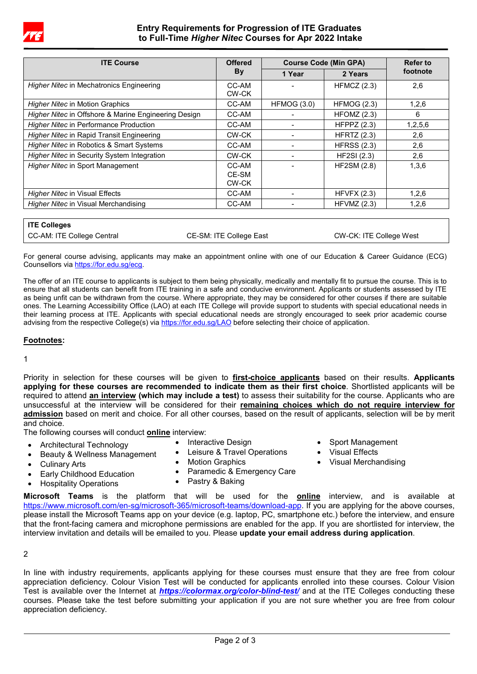

# **Entry Requirements for Progression of ITE Graduates to Full-Time** *Higher Nitec* **Courses for Apr 2022 Intake**

| <b>ITE Course</b>                                    | <b>Offered</b> | <b>Course Code (Min GPA)</b> |                    | Refer to |
|------------------------------------------------------|----------------|------------------------------|--------------------|----------|
|                                                      | By             | 1 Year                       | 2 Years            | footnote |
| <b>Higher Nitec in Mechatronics Engineering</b>      | CC-AM<br>CW-CK |                              | HFMCZ (2.3)        | 2,6      |
| <b>Higher Nitec in Motion Graphics</b>               | CC-AM          | HFMOG(3.0)                   | <b>HFMOG (2.3)</b> | 1,2,6    |
| Higher Nitec in Offshore & Marine Engineering Design | CC-AM          |                              | $H$ FOMZ $(2.3)$   | 6        |
| <b>Higher Nitec in Performance Production</b>        | CC-AM          |                              | HFPPZ $(2.3)$      | 1,2,5,6  |
| <i>Higher Nitec</i> in Rapid Transit Engineering     | CW-CK          |                              | <b>HFRTZ (2.3)</b> | 2,6      |
| Higher Nitec in Robotics & Smart Systems             | CC-AM          |                              | <b>HFRSS (2.3)</b> | 2,6      |
| Higher Nitec in Security System Integration          | CW-CK          |                              | <b>HF2SI</b> (2.3) | 2,6      |
| <b>Higher Nitec in Sport Management</b>              | CC-AM          |                              | <b>HF2SM (2.8)</b> | 1,3,6    |
|                                                      | CE-SM<br>CW-CK |                              |                    |          |
| Higher Nitec in Visual Effects                       | CC-AM          |                              | HFVFX (2.3)        | 1,2,6    |
| Higher Nitec in Visual Merchandising                 | CC-AM          |                              | HFVMZ $(2.3)$      | 1,2,6    |

| <b>ITE Colleges</b>        |                         |                         |
|----------------------------|-------------------------|-------------------------|
| CC-AM: ITE College Central | CE-SM: ITE College East | CW-CK: ITE College West |

For general course advising, applicants may make an appointment online with one of our Education & Career Guidance (ECG) Counsellors vi[a https://for.edu.sg/ecg.](https://for.edu.sg/ecg)

The offer of an ITE course to applicants is subject to them being physically, medically and mentally fit to pursue the course. This is to ensure that all students can benefit from ITE training in a safe and conducive environment. Applicants or students assessed by ITE as being unfit can be withdrawn from the course. Where appropriate, they may be considered for other courses if there are suitable ones. The Learning Accessibility Office (LAO) at each ITE College will provide support to students with special educational needs in their learning process at ITE. Applicants with special educational needs are strongly encouraged to seek prior academic course advising from the respective College(s) vi[a https://for.edu.sg/LAO](https://for.edu.sg/LAO) before selecting their choice of application.

#### **Footnotes:**

1

Priority in selection for these courses will be given to **first-choice applicants** based on their results. **Applicants applying for these courses are recommended to indicate them as their first choice**. Shortlisted applicants will be required to attend **an interview (which may include a test)** to assess their suitability for the course. Applicants who are unsuccessful at the interview will be considered for their **remaining choices which do not require interview for admission** based on merit and choice. For all other courses, based on the result of applicants, selection will be by merit and choice.

> • Sport Management • Visual Effects

• Visual Merchandising

The following courses will conduct **online** interview:

- Architectural Technology
- Interactive Design Leisure & Travel Operations
- Beauty & Wellness Management
- Culinary Arts
- **Motion Graphics** Paramedic & Emergency Care
- Early Childhood Education • Hospitality Operations
- Pastry & Baking
- **Microsoft Teams** is the platform that will be used for the **online** interview, and is available at [https://www.microsoft.com/en-sg/microsoft-365/microsoft-teams/download-app.](https://www.microsoft.com/en-sg/microsoft-365/microsoft-teams/download-app) If you are applying for the above courses, please install the Microsoft Teams app on your device (e.g. laptop, PC, smartphone etc.) before the interview, and ensure that the front-facing camera and microphone permissions are enabled for the app. If you are shortlisted for interview, the interview invitation and details will be emailed to you. Please **update your email address during application**.

2

In line with industry requirements, applicants applying for these courses must ensure that they are free from colour appreciation deficiency. Colour Vision Test will be conducted for applicants enrolled into these courses. Colour Vision Test is available over the Internet at *<https://colormax.org/color-blind-test/>* and at the ITE Colleges conducting these courses. Please take the test before submitting your application if you are not sure whether you are free from colour appreciation deficiency.